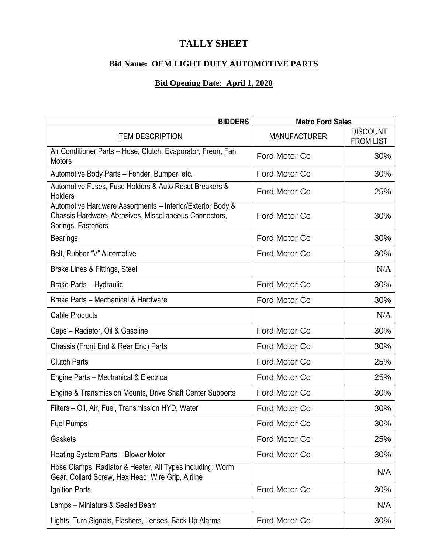## **TALLY SHEET**

## **Bid Name: OEM LIGHT DUTY AUTOMOTIVE PARTS**

## **Bid Opening Date: April 1, 2020**

| <b>BIDDERS</b>                                                                                                                             | <b>Metro Ford Sales</b> |                                     |
|--------------------------------------------------------------------------------------------------------------------------------------------|-------------------------|-------------------------------------|
| <b>ITEM DESCRIPTION</b>                                                                                                                    | <b>MANUFACTURER</b>     | <b>DISCOUNT</b><br><b>FROM LIST</b> |
| Air Conditioner Parts - Hose, Clutch, Evaporator, Freon, Fan<br><b>Motors</b>                                                              | Ford Motor Co           | 30%                                 |
| Automotive Body Parts - Fender, Bumper, etc.                                                                                               | Ford Motor Co           | 30%                                 |
| Automotive Fuses, Fuse Holders & Auto Reset Breakers &<br><b>Holders</b>                                                                   | Ford Motor Co           | 25%                                 |
| Automotive Hardware Assortments - Interior/Exterior Body &<br>Chassis Hardware, Abrasives, Miscellaneous Connectors,<br>Springs, Fasteners | Ford Motor Co           | 30%                                 |
| <b>Bearings</b>                                                                                                                            | Ford Motor Co           | 30%                                 |
| Belt, Rubber "V" Automotive                                                                                                                | Ford Motor Co           | 30%                                 |
| Brake Lines & Fittings, Steel                                                                                                              |                         | N/A                                 |
| Brake Parts - Hydraulic                                                                                                                    | Ford Motor Co           | 30%                                 |
| Brake Parts - Mechanical & Hardware                                                                                                        | Ford Motor Co           | 30%                                 |
| <b>Cable Products</b>                                                                                                                      |                         | N/A                                 |
| Caps - Radiator, Oil & Gasoline                                                                                                            | Ford Motor Co           | 30%                                 |
| Chassis (Front End & Rear End) Parts                                                                                                       | Ford Motor Co           | 30%                                 |
| <b>Clutch Parts</b>                                                                                                                        | Ford Motor Co           | 25%                                 |
| Engine Parts - Mechanical & Electrical                                                                                                     | Ford Motor Co           | 25%                                 |
| Engine & Transmission Mounts, Drive Shaft Center Supports                                                                                  | Ford Motor Co           | 30%                                 |
| Filters - Oil, Air, Fuel, Transmission HYD, Water                                                                                          | Ford Motor Co           | 30%                                 |
| <b>Fuel Pumps</b>                                                                                                                          | Ford Motor Co           | 30%                                 |
| Gaskets                                                                                                                                    | Ford Motor Co           | 25%                                 |
| Heating System Parts - Blower Motor                                                                                                        | Ford Motor Co           | 30%                                 |
| Hose Clamps, Radiator & Heater, All Types including: Worm<br>Gear, Collard Screw, Hex Head, Wire Grip, Airline                             |                         | N/A                                 |
| Ignition Parts                                                                                                                             | Ford Motor Co           | 30%                                 |
| Lamps - Miniature & Sealed Beam                                                                                                            |                         | N/A                                 |
| Lights, Turn Signals, Flashers, Lenses, Back Up Alarms                                                                                     | Ford Motor Co           | 30%                                 |